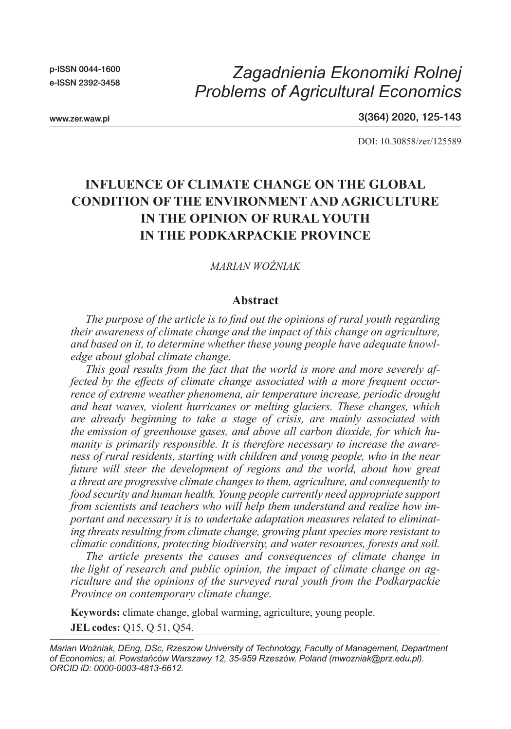p-ISSN 0044-1600 e-ISSN 2392-3458

# *Zagadnienia Ekonomiki Rolnej Problems of Agricultural Economics*

3(364) 2020, 125-143

DOI: 10.30858/zer/125589

## **INFLUENCE OF CLIMATE CHANGE ON THE GLOBAL CONDITION OF THE ENVIRONMENT AND AGRICULTURE IN THE OPINION OF RURAL YOUTH IN THE PODKARPACKIE PROVINCE**

#### *MARIAN WOŹNIAK*

#### **Abstract**

*The purpose of the article is to find out the opinions of rural youth regarding their awareness of climate change and the impact of this change on agriculture, and based on it, to determine whether these young people have adequate knowledge about global climate change.*

*This goal results from the fact that the world is more and more severely affected by the effects of climate change associated with a more frequent occurrence of extreme weather phenomena, air temperature increase, periodic drought and heat waves, violent hurricanes or melting glaciers. These changes, which are already beginning to take a stage of crisis, are mainly associated with the emission of greenhouse gases, and above all carbon dioxide, for which humanity is primarily responsible. It is therefore necessary to increase the awareness of rural residents, starting with children and young people, who in the near future will steer the development of regions and the world, about how great a threat are progressive climate changes to them, agriculture, and consequently to food security and human health. Young people currently need appropriate support from scientists and teachers who will help them understand and realize how important and necessary it is to undertake adaptation measures related to eliminating threats resulting from climate change, growing plant species more resistant to climatic conditions, protecting biodiversity, and water resources, forests and soil.*

*The article presents the causes and consequences of climate change in the light of research and public opinion, the impact of climate change on agriculture and the opinions of the surveyed rural youth from the Podkarpackie Province on contemporary climate change.*

**Keywords:** climate change, global warming, agriculture, young people. **JEL codes:** Q15, Q 51, Q54.

*Marian Woźniak, DEng, DSc, Rzeszow University of Technology, Faculty of Management, Department of Economics; al. Powstańców Warszawy 12, 35-959 Rzeszów, Poland (mwozniak@prz.edu.pl). ORCID iD: 0000-0003-4813-6612.*

www.zer.waw.pl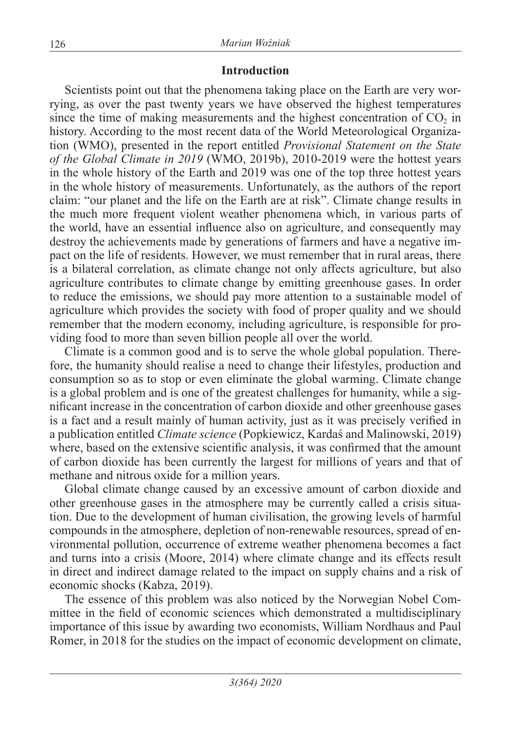## **Introduction**

Scientists point out that the phenomena taking place on the Earth are very worrying, as over the past twenty years we have observed the highest temperatures since the time of making measurements and the highest concentration of  $CO<sub>2</sub>$  in history. According to the most recent data of the World Meteorological Organization (WMO), presented in the report entitled *Provisional Statement on the State of the Global Climate in 2019* (WMO, 2019b), 2010-2019 were the hottest years in the whole history of the Earth and 2019 was one of the top three hottest years in the whole history of measurements. Unfortunately, as the authors of the report claim: "our planet and the life on the Earth are at risk". Climate change results in the much more frequent violent weather phenomena which, in various parts of the world, have an essential influence also on agriculture, and consequently may destroy the achievements made by generations of farmers and have a negative impact on the life of residents. However, we must remember that in rural areas, there is a bilateral correlation, as climate change not only affects agriculture, but also agriculture contributes to climate change by emitting greenhouse gases. In order to reduce the emissions, we should pay more attention to a sustainable model of agriculture which provides the society with food of proper quality and we should remember that the modern economy, including agriculture, is responsible for providing food to more than seven billion people all over the world.

Climate is a common good and is to serve the whole global population. Therefore, the humanity should realise a need to change their lifestyles, production and consumption so as to stop or even eliminate the global warming. Climate change is a global problem and is one of the greatest challenges for humanity, while a significant increase in the concentration of carbon dioxide and other greenhouse gases is a fact and a result mainly of human activity, just as it was precisely verified in a publication entitled *Climate science* (Popkiewicz, Kardaś and Malinowski, 2019) where, based on the extensive scientific analysis, it was confirmed that the amount of carbon dioxide has been currently the largest for millions of years and that of methane and nitrous oxide for a million years.

Global climate change caused by an excessive amount of carbon dioxide and other greenhouse gases in the atmosphere may be currently called a crisis situation. Due to the development of human civilisation, the growing levels of harmful compounds in the atmosphere, depletion of non-renewable resources, spread of environmental pollution, occurrence of extreme weather phenomena becomes a fact and turns into a crisis (Moore, 2014) where climate change and its effects result in direct and indirect damage related to the impact on supply chains and a risk of economic shocks (Kabza, 2019).

The essence of this problem was also noticed by the Norwegian Nobel Committee in the field of economic sciences which demonstrated a multidisciplinary importance of this issue by awarding two economists, William Nordhaus and Paul Romer, in 2018 for the studies on the impact of economic development on climate,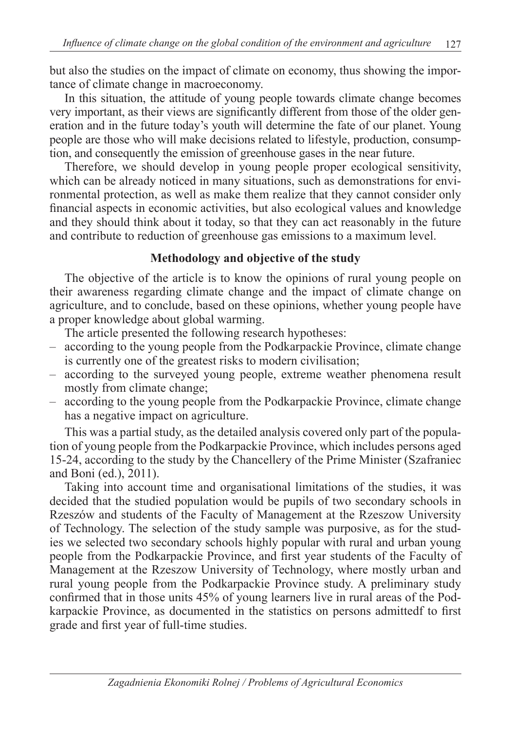but also the studies on the impact of climate on economy, thus showing the importance of climate change in macroeconomy.

In this situation, the attitude of young people towards climate change becomes very important, as their views are significantly different from those of the older generation and in the future today's youth will determine the fate of our planet. Young people are those who will make decisions related to lifestyle, production, consumption, and consequently the emission of greenhouse gases in the near future.

Therefore, we should develop in young people proper ecological sensitivity, which can be already noticed in many situations, such as demonstrations for environmental protection, as well as make them realize that they cannot consider only financial aspects in economic activities, but also ecological values and knowledge and they should think about it today, so that they can act reasonably in the future and contribute to reduction of greenhouse gas emissions to a maximum level.

## **Methodology and objective of the study**

The objective of the article is to know the opinions of rural young people on their awareness regarding climate change and the impact of climate change on agriculture, and to conclude, based on these opinions, whether young people have a proper knowledge about global warming.

The article presented the following research hypotheses:

- according to the young people from the Podkarpackie Province, climate change is currently one of the greatest risks to modern civilisation;
- according to the surveyed young people, extreme weather phenomena result mostly from climate change;
- according to the young people from the Podkarpackie Province, climate change has a negative impact on agriculture.

This was a partial study, as the detailed analysis covered only part of the population of young people from the Podkarpackie Province, which includes persons aged 15-24, according to the study by the Chancellery of the Prime Minister (Szafraniec and Boni (ed.), 2011).

Taking into account time and organisational limitations of the studies, it was decided that the studied population would be pupils of two secondary schools in Rzeszów and students of the Faculty of Management at the Rzeszow University of Technology. The selection of the study sample was purposive, as for the studies we selected two secondary schools highly popular with rural and urban young people from the Podkarpackie Province, and first year students of the Faculty of Management at the Rzeszow University of Technology, where mostly urban and rural young people from the Podkarpackie Province study. A preliminary study confirmed that in those units 45% of young learners live in rural areas of the Podkarpackie Province, as documented in the statistics on persons admittedf to first grade and first year of full-time studies.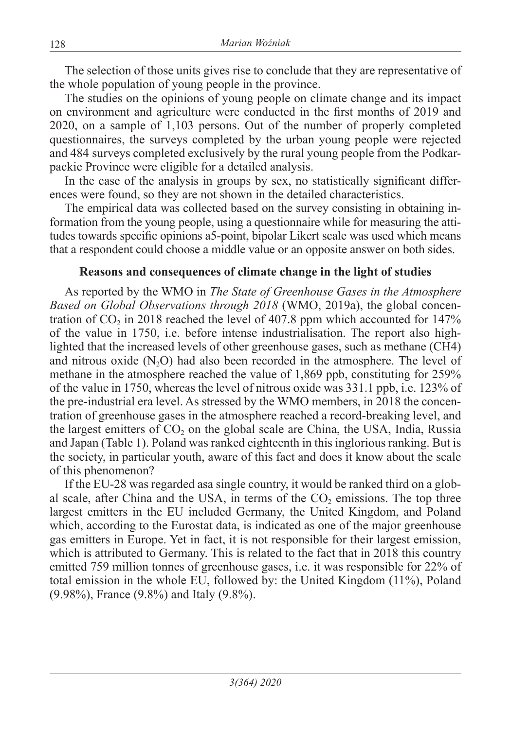The selection of those units gives rise to conclude that they are representative of the whole population of young people in the province.

The studies on the opinions of young people on climate change and its impact on environment and agriculture were conducted in the first months of 2019 and 2020, on a sample of 1,103 persons. Out of the number of properly completed questionnaires, the surveys completed by the urban young people were rejected and 484 surveys completed exclusively by the rural young people from the Podkarpackie Province were eligible for a detailed analysis.

In the case of the analysis in groups by sex, no statistically significant differences were found, so they are not shown in the detailed characteristics.

The empirical data was collected based on the survey consisting in obtaining information from the young people, using a questionnaire while for measuring the attitudes towards specific opinions a5-point, bipolar Likert scale was used which means that a respondent could choose a middle value or an opposite answer on both sides.

## **Reasons and consequences of climate change in the light of studies**

As reported by the WMO in *The State of Greenhouse Gases in the Atmosphere Based on Global Observations through 2018* (WMO, 2019a), the global concentration of  $CO<sub>2</sub>$  in 2018 reached the level of 407.8 ppm which accounted for 147% of the value in 1750, i.e. before intense industrialisation. The report also highlighted that the increased levels of other greenhouse gases, such as methane (CH4) and nitrous oxide  $(N, O)$  had also been recorded in the atmosphere. The level of methane in the atmosphere reached the value of 1,869 ppb, constituting for 259% of the value in 1750, whereas the level of nitrous oxide was 331.1 ppb, i.e. 123% of the pre-industrial era level. As stressed by the WMO members, in 2018 the concentration of greenhouse gases in the atmosphere reached a record-breaking level, and the largest emitters of  $CO<sub>2</sub>$  on the global scale are China, the USA, India, Russia and Japan (Table 1). Poland was ranked eighteenth in this inglorious ranking. But is the society, in particular youth, aware of this fact and does it know about the scale of this phenomenon?

If the EU-28 was regarded asa single country, it would be ranked third on a global scale, after China and the USA, in terms of the  $CO<sub>2</sub>$  emissions. The top three largest emitters in the EU included Germany, the United Kingdom, and Poland which, according to the Eurostat data, is indicated as one of the major greenhouse gas emitters in Europe. Yet in fact, it is not responsible for their largest emission, which is attributed to Germany. This is related to the fact that in 2018 this country emitted 759 million tonnes of greenhouse gases, i.e. it was responsible for 22% of total emission in the whole EU, followed by: the United Kingdom (11%), Poland (9.98%), France (9.8%) and Italy (9.8%).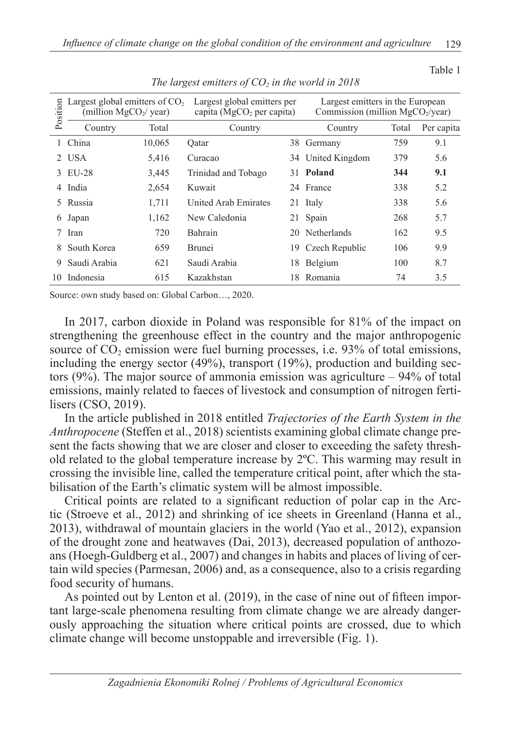Table 1

| Position | Largest global emitters of $CO2$<br>(million $MgCO2/year$ ) |        | Largest global emitters per<br>capita ( $MgCO2$ per capita) |    | Largest emitters in the European<br>Commission (million $MgCO2/year$ ) |       |            |  |
|----------|-------------------------------------------------------------|--------|-------------------------------------------------------------|----|------------------------------------------------------------------------|-------|------------|--|
|          | Country                                                     | Total  | Country                                                     |    | Country                                                                | Total | Per capita |  |
|          | China                                                       | 10,065 | Oatar                                                       |    | 38 Germany                                                             | 759   | 9.1        |  |
|          | 2 USA                                                       | 5,416  | Curacao                                                     |    | 34 United Kingdom                                                      | 379   | 5.6        |  |
| 3.       | EU-28                                                       | 3,445  | Trinidad and Tobago                                         |    | 31 Poland                                                              | 344   | 9.1        |  |
| 4        | India                                                       | 2,654  | Kuwait                                                      |    | 24 France                                                              | 338   | 5.2        |  |
| 5.       | Russia                                                      | 1,711  | <b>United Arab Emirates</b>                                 |    | 21 Italy                                                               | 338   | 5.6        |  |
| 6        | Japan                                                       | 1,162  | New Caledonia                                               |    | 21 Spain                                                               | 268   | 5.7        |  |
| 7        | Iran                                                        | 720    | Bahrain                                                     | 20 | Netherlands                                                            | 162   | 9.5        |  |
| 8        | South Korea                                                 | 659    | <b>Brunei</b>                                               | 19 | Czech Republic                                                         | 106   | 9.9        |  |
| 9        | Saudi Arabia                                                | 621    | Saudi Arabia                                                | 18 | Belgium                                                                | 100   | 8.7        |  |
| 10       | Indonesia                                                   | 615    | Kazakhstan                                                  | 18 | Romania                                                                | 74    | 3.5        |  |

The largest emitters of  $CO<sub>2</sub>$  in the world in 2018

Source: own study based on: Global Carbon…, 2020.

In 2017, carbon dioxide in Poland was responsible for 81% of the impact on strengthening the greenhouse effect in the country and the major anthropogenic source of  $CO<sub>2</sub>$  emission were fuel burning processes, i.e. 93% of total emissions, including the energy sector (49%), transport (19%), production and building sectors  $(9\%)$ . The major source of ammonia emission was agriculture – 94% of total emissions, mainly related to faeces of livestock and consumption of nitrogen fertilisers (CSO, 2019).

In the article published in 2018 entitled *Trajectories of the Earth System in the Anthropocene* (Steffen et al., 2018) scientists examining global climate change present the facts showing that we are closer and closer to exceeding the safety threshold related to the global temperature increase by  $2^{\circ}C$ . This warming may result in crossing the invisible line, called the temperature critical point, after which the stabilisation of the Earth's climatic system will be almost impossible.

Critical points are related to a significant reduction of polar cap in the Arctic (Stroeve et al., 2012) and shrinking of ice sheets in Greenland (Hanna et al., 2013), withdrawal of mountain glaciers in the world (Yao et al., 2012), expansion of the drought zone and heatwaves (Dai, 2013), decreased population of anthozoans (Hoegh-Guldberg et al., 2007) and changes in habits and places of living of certain wild species (Parmesan, 2006) and, as a consequence, also to a crisis regarding food security of humans.

As pointed out by Lenton et al. (2019), in the case of nine out of fifteen important large-scale phenomena resulting from climate change we are already dangerously approaching the situation where critical points are crossed, due to which climate change will become unstoppable and irreversible (Fig. 1).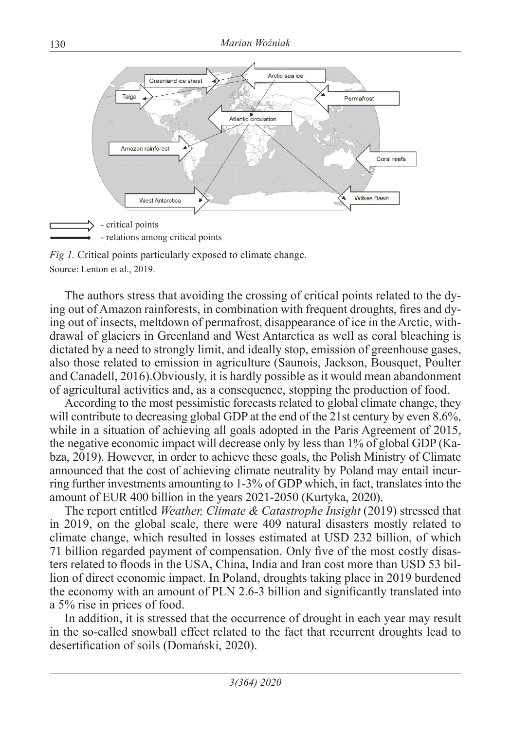

*Fig 1.* Critical points particularly exposed to climate change. Source: Lenton et al., 2019.

The authors stress that avoiding the crossing of critical points related to the dying out of Amazon rainforests, in combination with frequent droughts, fires and dying out of insects, meltdown of permafrost, disappearance of ice in the Arctic, withdrawal of glaciers in Greenland and West Antarctica as well as coral bleaching is dictated by a need to strongly limit, and ideally stop, emission of greenhouse gases, also those related to emission in agriculture (Saunois, Jackson, Bousquet, Poulter and Canadell, 2016).Obviously, it is hardly possible as it would mean abandonment of agricultural activities and, as a consequence, stopping the production of food.

According to the most pessimistic forecasts related to global climate change, they will contribute to decreasing global GDP at the end of the 21st century by even 8.6%, while in a situation of achieving all goals adopted in the Paris Agreement of 2015, the negative economic impact will decrease only by less than 1% of global GDP (Kabza, 2019). However, in order to achieve these goals, the Polish Ministry of Climate announced that the cost of achieving climate neutrality by Poland may entail incurring further investments amounting to 1-3% of GDP which, in fact, translates into the amount of EUR 400 billion in the years 2021-2050 (Kurtyka, 2020).

The report entitled *Weather, Climate & Catastrophe Insight* (2019) stressed that in 2019, on the global scale, there were 409 natural disasters mostly related to climate change, which resulted in losses estimated at USD 232 billion, of which 71 billion regarded payment of compensation. Only five of the most costly disasters related to floods in the USA, China, India and Iran cost more than USD 53 billion of direct economic impact. In Poland, droughts taking place in 2019 burdened the economy with an amount of PLN 2.6-3 billion and significantly translated into a 5% rise in prices of food.

In addition, it is stressed that the occurrence of drought in each year may result in the so-called snowball effect related to the fact that recurrent droughts lead to desertification of soils (Domański, 2020).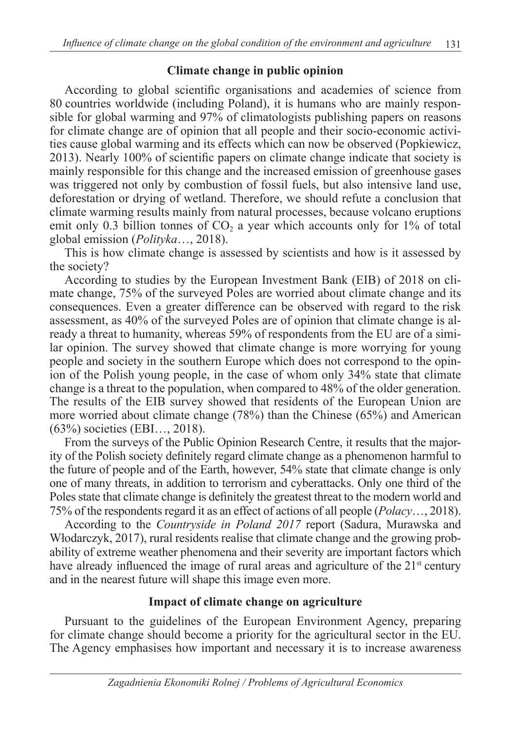## **Climate change in public opinion**

According to global scientific organisations and academies of science from 80 countries worldwide (including Poland), it is humans who are mainly responsible for global warming and 97% of climatologists publishing papers on reasons for climate change are of opinion that all people and their socio-economic activities cause global warming and its effects which can now be observed (Popkiewicz, 2013). Nearly 100% of scientific papers on climate change indicate that society is mainly responsible for this change and the increased emission of greenhouse gases was triggered not only by combustion of fossil fuels, but also intensive land use, deforestation or drying of wetland. Therefore, we should refute a conclusion that climate warming results mainly from natural processes, because volcano eruptions emit only 0.3 billion tonnes of  $CO<sub>2</sub>$  a year which accounts only for 1% of total global emission (*Polityka*…, 2018).

This is how climate change is assessed by scientists and how is it assessed by the society?

According to studies by the European Investment Bank (EIB) of 2018 on climate change, 75% of the surveyed Poles are worried about climate change and its consequences. Even a greater difference can be observed with regard to the risk assessment, as 40% of the surveyed Poles are of opinion that climate change is already a threat to humanity, whereas 59% of respondents from the EU are of a similar opinion. The survey showed that climate change is more worrying for young people and society in the southern Europe which does not correspond to the opinion of the Polish young people, in the case of whom only 34% state that climate change is a threat to the population, when compared to 48% of the older generation. The results of the EIB survey showed that residents of the European Union are more worried about climate change (78%) than the Chinese (65%) and American (63%) societies (EBI…, 2018).

From the surveys of the Public Opinion Research Centre, it results that the majority of the Polish society definitely regard climate change as a phenomenon harmful to the future of people and of the Earth, however, 54% state that climate change is only one of many threats, in addition to terrorism and cyberattacks. Only one third of the Poles state that climate change is definitely the greatest threat to the modern world and 75% of the respondents regard it as an effect of actions of all people (*Polacy*…, 2018).

According to the *Countryside in Poland 2017* report (Sadura, Murawska and Włodarczyk, 2017), rural residents realise that climate change and the growing probability of extreme weather phenomena and their severity are important factors which have already influenced the image of rural areas and agriculture of the  $21<sup>st</sup>$  century and in the nearest future will shape this image even more.

## **Impact of climate change on agriculture**

Pursuant to the guidelines of the European Environment Agency, preparing for climate change should become a priority for the agricultural sector in the EU. The Agency emphasises how important and necessary it is to increase awareness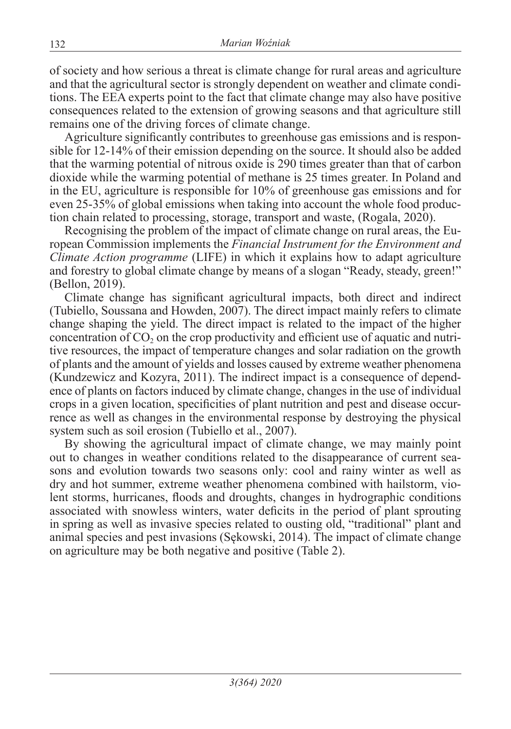of society and how serious a threat is climate change for rural areas and agriculture and that the agricultural sector is strongly dependent on weather and climate conditions. The EEA experts point to the fact that climate change may also have positive consequences related to the extension of growing seasons and that agriculture still remains one of the driving forces of climate change.

Agriculture significantly contributes to greenhouse gas emissions and is responsible for 12-14% of their emission depending on the source. It should also be added that the warming potential of nitrous oxide is 290 times greater than that of carbon dioxide while the warming potential of methane is 25 times greater. In Poland and in the EU, agriculture is responsible for 10% of greenhouse gas emissions and for even 25-35% of global emissions when taking into account the whole food production chain related to processing, storage, transport and waste, (Rogala, 2020).

Recognising the problem of the impact of climate change on rural areas, the European Commission implements the *Financial Instrument for the Environment and Climate Action programme* (LIFE) in which it explains how to adapt agriculture and forestry to global climate change by means of a slogan "Ready, steady, green!" (Bellon, 2019).

Climate change has significant agricultural impacts, both direct and indirect (Tubiello, Soussana and Howden, 2007). The direct impact mainly refers to climate change shaping the yield. The direct impact is related to the impact of the higher concentration of  $CO<sub>2</sub>$  on the crop productivity and efficient use of aquatic and nutritive resources, the impact of temperature changes and solar radiation on the growth of plants and the amount of yields and losses caused by extreme weather phenomena (Kundzewicz and Kozyra, 2011). The indirect impact is a consequence of dependence of plants on factors induced by climate change, changes in the use of individual crops in a given location, specificities of plant nutrition and pest and disease occurrence as well as changes in the environmental response by destroying the physical system such as soil erosion (Tubiello et al., 2007).

By showing the agricultural impact of climate change, we may mainly point out to changes in weather conditions related to the disappearance of current seasons and evolution towards two seasons only: cool and rainy winter as well as dry and hot summer, extreme weather phenomena combined with hailstorm, violent storms, hurricanes, floods and droughts, changes in hydrographic conditions associated with snowless winters, water deficits in the period of plant sprouting in spring as well as invasive species related to ousting old, "traditional" plant and animal species and pest invasions (Sękowski, 2014). The impact of climate change on agriculture may be both negative and positive (Table 2).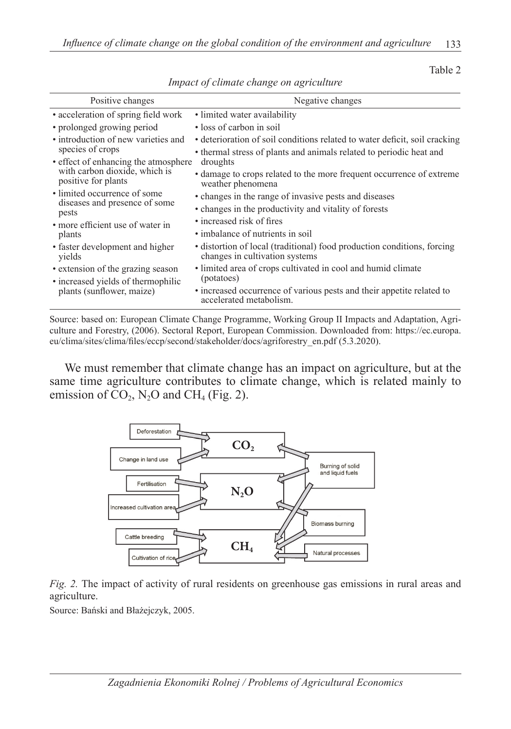Table 2

| Positive changes                                     | Negative changes                                                                                          |  |  |  |  |
|------------------------------------------------------|-----------------------------------------------------------------------------------------------------------|--|--|--|--|
| • acceleration of spring field work                  | • limited water availability                                                                              |  |  |  |  |
| • prolonged growing period                           | • loss of carbon in soil                                                                                  |  |  |  |  |
| • introduction of new varieties and                  | · deterioration of soil conditions related to water deficit, soil cracking                                |  |  |  |  |
| species of crops                                     | • thermal stress of plants and animals related to periodic heat and                                       |  |  |  |  |
| • effect of enhancing the atmosphere                 | droughts                                                                                                  |  |  |  |  |
| with carbon dioxide, which is<br>positive for plants | • damage to crops related to the more frequent occurrence of extreme<br>weather phenomena                 |  |  |  |  |
| • limited occurrence of some                         | • changes in the range of invasive pests and diseases                                                     |  |  |  |  |
| diseases and presence of some<br>pests               | • changes in the productivity and vitality of forests                                                     |  |  |  |  |
| • more efficient use of water in                     | • increased risk of fires                                                                                 |  |  |  |  |
| plants                                               | • imbalance of nutrients in soil                                                                          |  |  |  |  |
| • faster development and higher<br>yields            | • distortion of local (traditional) food production conditions, forcing<br>changes in cultivation systems |  |  |  |  |
| • extension of the grazing season                    | • limited area of crops cultivated in cool and humid climate                                              |  |  |  |  |
| • increased yields of thermophilic                   | (potatoes)                                                                                                |  |  |  |  |
| plants (sunflower, maize)                            | • increased occurrence of various pests and their appetite related to<br>accelerated metabolism.          |  |  |  |  |

*Impact of climate change on agriculture*

Source: based on: European Climate Change Programme, Working Group II Impacts and Adaptation, Agriculture and Forestry, (2006). Sectoral Report, European Commission. Downloaded from: https://ec.europa. eu/clima/sites/clima/files/eccp/second/stakeholder/docs/agriforestry\_en.pdf (5.3.2020).

We must remember that climate change has an impact on agriculture, but at the same time agriculture contributes to climate change, which is related mainly to emission of  $CO<sub>2</sub>$ , N<sub>2</sub>O and CH<sub>4</sub> (Fig. 2).



*Fig. 2.* The impact of activity of rural residents on greenhouse gas emissions in rural areas and agriculture.

Source: Bański and Błażejczyk, 2005.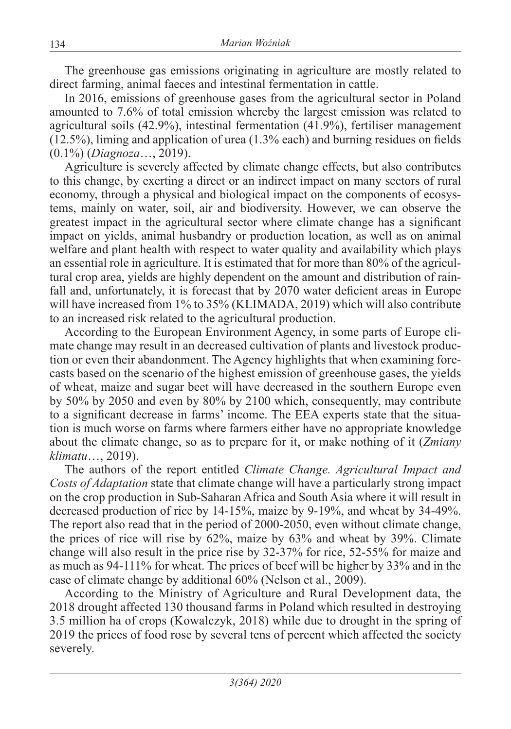The greenhouse gas emissions originating in agriculture are mostly related to direct farming, animal faeces and intestinal fermentation in cattle.

In 2016, emissions of greenhouse gases from the agricultural sector in Poland amounted to 7.6% of total emission whereby the largest emission was related to agricultural soils (42.9%), intestinal fermentation (41.9%), fertiliser management (12.5%), liming and application of urea (1.3% each) and burning residues on fields (0.1%) (*Diagnoza*…, 2019).

Agriculture is severely affected by climate change effects, but also contributes to this change, by exerting a direct or an indirect impact on many sectors of rural economy, through a physical and biological impact on the components of ecosystems, mainly on water, soil, air and biodiversity. However, we can observe the greatest impact in the agricultural sector where climate change has a significant impact on yields, animal husbandry or production location, as well as on animal welfare and plant health with respect to water quality and availability which plays an essential role in agriculture. It is estimated that for more than 80% of the agricultural crop area, yields are highly dependent on the amount and distribution of rainfall and, unfortunately, it is forecast that by 2070 water deficient areas in Europe will have increased from 1% to 35% (KLIMADA, 2019) which will also contribute to an increased risk related to the agricultural production.

According to the European Environment Agency, in some parts of Europe climate change may result in an decreased cultivation of plants and livestock production or even their abandonment. The Agency highlights that when examining forecasts based on the scenario of the highest emission of greenhouse gases, the yields of wheat, maize and sugar beet will have decreased in the southern Europe even by 50% by 2050 and even by 80% by 2100 which, consequently, may contribute to a significant decrease in farms' income. The EEA experts state that the situation is much worse on farms where farmers either have no appropriate knowledge about the climate change, so as to prepare for it, or make nothing of it (*Zmiany klimatu*…, 2019).

The authors of the report entitled *Climate Change. Agricultural Impact and Costs of Adaptation* state that climate change will have a particularly strong impact on the crop production in Sub-Saharan Africa and South Asia where it will result in decreased production of rice by 14-15%, maize by 9-19%, and wheat by 34-49%. The report also read that in the period of 2000-2050, even without climate change, the prices of rice will rise by 62%, maize by 63% and wheat by 39%. Climate change will also result in the price rise by 32-37% for rice, 52-55% for maize and as much as 94-111% for wheat. The prices of beef will be higher by 33% and in the case of climate change by additional 60% (Nelson et al., 2009).

According to the Ministry of Agriculture and Rural Development data, the 2018 drought affected 130 thousand farms in Poland which resulted in destroying 3.5 million ha of crops (Kowalczyk, 2018) while due to drought in the spring of 2019 the prices of food rose by several tens of percent which affected the society severely.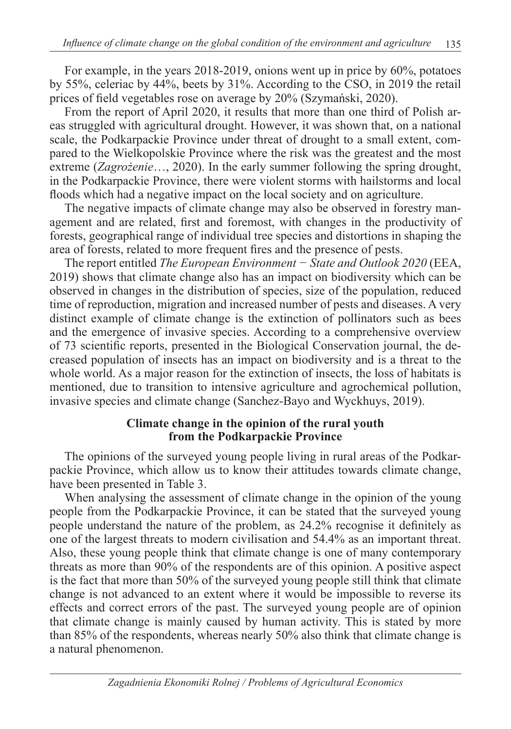For example, in the years 2018-2019, onions went up in price by 60%, potatoes by 55%, celeriac by 44%, beets by 31%. According to the CSO, in 2019 the retail prices of field vegetables rose on average by 20% (Szymański, 2020).

From the report of April 2020, it results that more than one third of Polish areas struggled with agricultural drought. However, it was shown that, on a national scale, the Podkarpackie Province under threat of drought to a small extent, compared to the Wielkopolskie Province where the risk was the greatest and the most extreme (*Zagrożenie*…, 2020). In the early summer following the spring drought, in the Podkarpackie Province, there were violent storms with hailstorms and local floods which had a negative impact on the local society and on agriculture.

The negative impacts of climate change may also be observed in forestry management and are related, first and foremost, with changes in the productivity of forests, geographical range of individual tree species and distortions in shaping the area of forests, related to more frequent fires and the presence of pests.

The report entitled *The European Environment − State and Outlook 2020* (EEA, 2019) shows that climate change also has an impact on biodiversity which can be observed in changes in the distribution of species, size of the population, reduced time of reproduction, migration and increased number of pests and diseases. A very distinct example of climate change is the extinction of pollinators such as bees and the emergence of invasive species. According to a comprehensive overview of 73 scientific reports, presented in the Biological Conservation journal, the decreased population of insects has an impact on biodiversity and is a threat to the whole world. As a major reason for the extinction of insects, the loss of habitats is mentioned, due to transition to intensive agriculture and agrochemical pollution, invasive species and climate change (Sanchez-Bayo and Wyckhuys, 2019).

#### **Climate change in the opinion of the rural youth from the Podkarpackie Province**

The opinions of the surveyed young people living in rural areas of the Podkarpackie Province, which allow us to know their attitudes towards climate change, have been presented in Table 3.

When analysing the assessment of climate change in the opinion of the young people from the Podkarpackie Province, it can be stated that the surveyed young people understand the nature of the problem, as 24.2% recognise it definitely as one of the largest threats to modern civilisation and 54.4% as an important threat. Also, these young people think that climate change is one of many contemporary threats as more than 90% of the respondents are of this opinion. A positive aspect is the fact that more than 50% of the surveyed young people still think that climate change is not advanced to an extent where it would be impossible to reverse its effects and correct errors of the past. The surveyed young people are of opinion that climate change is mainly caused by human activity. This is stated by more than 85% of the respondents, whereas nearly 50% also think that climate change is a natural phenomenon.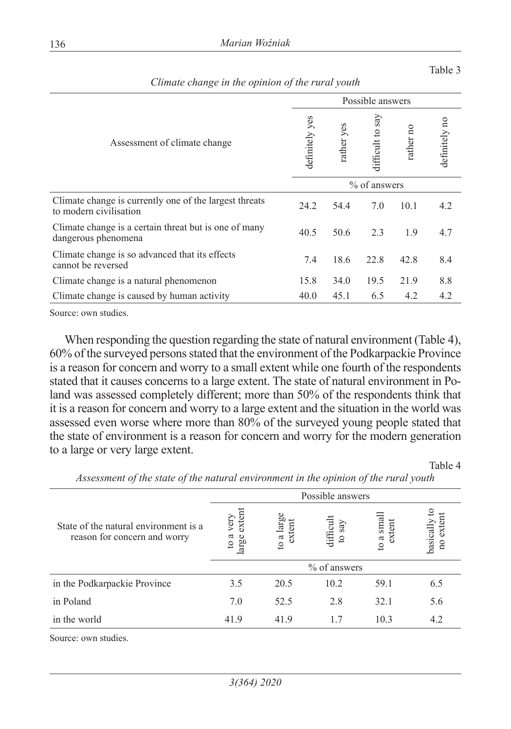|                                                                                  | Possible answers |            |                     |           |               |  |  |
|----------------------------------------------------------------------------------|------------------|------------|---------------------|-----------|---------------|--|--|
| Assessment of climate change                                                     |                  | rather yes | say<br>difficult to | rather no | definitely no |  |  |
|                                                                                  | $%$ of answers   |            |                     |           |               |  |  |
| Climate change is currently one of the largest threats<br>to modern civilisation | 24.2             | 54.4       | 7.0                 | 10.1      | 4.2           |  |  |
| Climate change is a certain threat but is one of many<br>dangerous phenomena     | 40.5             | 50.6       | 2.3                 | 1.9       | 4.7           |  |  |
| Climate change is so advanced that its effects<br>cannot be reversed             | 7.4              | 18.6       | 22.8                | 42.8      | 8.4           |  |  |
| Climate change is a natural phenomenon                                           | 15.8             | 34.0       | 19.5                | 21.9      | 8.8           |  |  |
| Climate change is caused by human activity                                       | 40.0             | 45.1       | 6.5                 | 4.2       | 4.2           |  |  |

*Climate change in the opinion of the rural youth*

Source: own studies.

When responding the question regarding the state of natural environment (Table 4), 60% of the surveyed persons stated that the environment of the Podkarpackie Province is a reason for concern and worry to a small extent while one fourth of the respondents stated that it causes concerns to a large extent. The state of natural environment in Poland was assessed completely different; more than 50% of the respondents think that it is a reason for concern and worry to a large extent and the situation in the world was assessed even worse where more than 80% of the surveyed young people stated that the state of environment is a reason for concern and worry for the modern generation to a large or very large extent.

Table 4

|                                                                       | Possible answers                                               |      |                     |                     |                           |  |  |  |
|-----------------------------------------------------------------------|----------------------------------------------------------------|------|---------------------|---------------------|---------------------------|--|--|--|
| State of the natural environment is a<br>reason for concern and worry | extent<br>to a large<br>very<br>E<br>ದ<br>arge<br>$\mathbf{c}$ |      | difficult<br>to say | to a smal<br>extent | basically tc<br>no extent |  |  |  |
|                                                                       |                                                                |      | % of answers        |                     |                           |  |  |  |
| in the Podkarpackie Province                                          | 3.5                                                            | 20.5 | 10.2                | 59.1                | 6.5                       |  |  |  |
| in Poland                                                             | 7.0                                                            | 52.5 | 2.8                 | 32.1                | 5.6                       |  |  |  |
| in the world                                                          | 41.9                                                           | 41.9 | 1.7                 | 10.3                | 4.2                       |  |  |  |
| Ossana ne saamada dina                                                |                                                                |      |                     |                     |                           |  |  |  |

*Assessment of the state of the natural environment in the opinion of the rural youth*

Source: own studies.

Table 3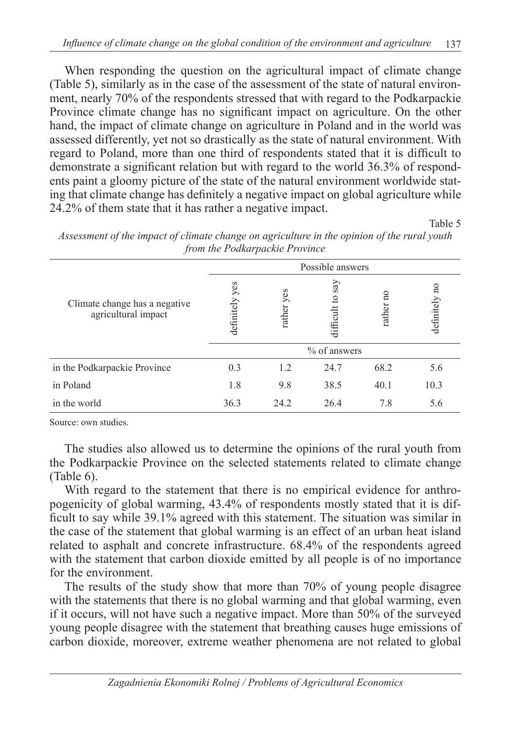When responding the question on the agricultural impact of climate change (Table 5), similarly as in the case of the assessment of the state of natural environment, nearly 70% of the respondents stressed that with regard to the Podkarpackie Province climate change has no significant impact on agriculture. On the other hand, the impact of climate change on agriculture in Poland and in the world was assessed differently, yet not so drastically as the state of natural environment. With regard to Poland, more than one third of respondents stated that it is difficult to demonstrate a significant relation but with regard to the world 36.3% of respondents paint a gloomy picture of the state of the natural environment worldwide stating that climate change has definitely a negative impact on global agriculture while 24.2% of them state that it has rather a negative impact.

Table 5

| $\epsilon$                                           | $\overline{ }$    |               |                     |                         |               |  |  |  |
|------------------------------------------------------|-------------------|---------------|---------------------|-------------------------|---------------|--|--|--|
|                                                      | Possible answers  |               |                     |                         |               |  |  |  |
| Climate change has a negative<br>agricultural impact | yes<br>definitely | yes<br>rather | say<br>difficult to | $\frac{1}{2}$<br>rather | definitely no |  |  |  |
|                                                      |                   |               | % of answers        |                         |               |  |  |  |
| in the Podkarpackie Province                         | 0.3               | 1.2           | 24.7                | 68.2                    | 5.6           |  |  |  |
| in Poland                                            | 1.8               | 9.8           | 38.5                | 40.1                    | 10.3          |  |  |  |
| in the world                                         | 36.3              | 24.2          | 26.4                | 7.8                     | 5.6           |  |  |  |

*Assessment of the impact of climate change on agriculture in the opinion of the rural youth from the Podkarpackie Province*

Source: own studies.

The studies also allowed us to determine the opinions of the rural youth from the Podkarpackie Province on the selected statements related to climate change (Table 6).

With regard to the statement that there is no empirical evidence for anthropogenicity of global warming, 43.4% of respondents mostly stated that it is difficult to say while 39.1% agreed with this statement. The situation was similar in the case of the statement that global warming is an effect of an urban heat island related to asphalt and concrete infrastructure. 68.4% of the respondents agreed with the statement that carbon dioxide emitted by all people is of no importance for the environment.

The results of the study show that more than 70% of young people disagree with the statements that there is no global warming and that global warming, even if it occurs, will not have such a negative impact. More than 50% of the surveyed young people disagree with the statement that breathing causes huge emissions of carbon dioxide, moreover, extreme weather phenomena are not related to global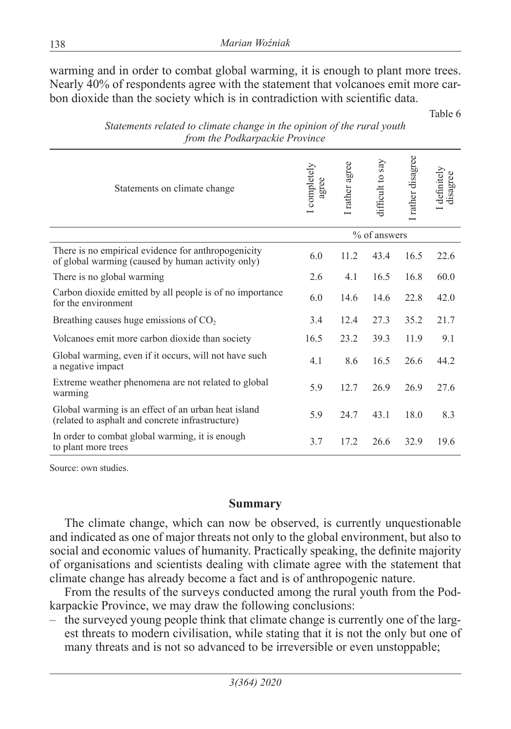warming and in order to combat global warming, it is enough to plant more trees. Nearly 40% of respondents agree with the statement that volcanoes emit more carbon dioxide than the society which is in contradiction with scientific data.

Table 6

| Statements on climate change                                                                             | I completely<br>agree | I rather agree | difficult to say | I rather disagree | I definitely<br>disagree |
|----------------------------------------------------------------------------------------------------------|-----------------------|----------------|------------------|-------------------|--------------------------|
|                                                                                                          | % of answers          |                |                  |                   |                          |
| There is no empirical evidence for anthropogenicity<br>of global warming (caused by human activity only) | 6.0                   | 11.2           | 43.4             | 16.5              | 22.6                     |
| There is no global warming                                                                               | 2.6                   | 4.1            | 16.5             | 16.8              | 60.0                     |
| Carbon dioxide emitted by all people is of no importance<br>for the environment                          |                       | 14.6           | 14.6             | 22.8              | 42.0                     |
| Breathing causes huge emissions of $CO2$                                                                 |                       | 12.4           | 27.3             | 35.2              | 21.7                     |
| Volcanoes emit more carbon dioxide than society                                                          | 16.5                  | 23.2           | 39.3             | 11.9              | 9.1                      |
| Global warming, even if it occurs, will not have such<br>a negative impact                               | 4.1                   | 8.6            | 16.5             | 26.6              | 44.2                     |
| Extreme weather phenomena are not related to global<br>warming                                           | 5.9                   | 12.7           | 26.9             | 26.9              | 27.6                     |
| Global warming is an effect of an urban heat island<br>(related to asphalt and concrete infrastructure)  | 5.9                   | 24.7           | 43.1             | 18.0              | 8.3                      |
| In order to combat global warming, it is enough<br>to plant more trees                                   | 3.7                   | 17.2           | 26.6             | 32.9              | 19.6                     |

*Statements related to climate change in the opinion of the rural youth from the Podkarpackie Province*

Source: own studies.

#### **Summary**

The climate change, which can now be observed, is currently unquestionable and indicated as one of major threats not only to the global environment, but also to social and economic values of humanity. Practically speaking, the definite majority of organisations and scientists dealing with climate agree with the statement that climate change has already become a fact and is of anthropogenic nature.

From the results of the surveys conducted among the rural youth from the Podkarpackie Province, we may draw the following conclusions:

– the surveyed young people think that climate change is currently one of the largest threats to modern civilisation, while stating that it is not the only but one of many threats and is not so advanced to be irreversible or even unstoppable;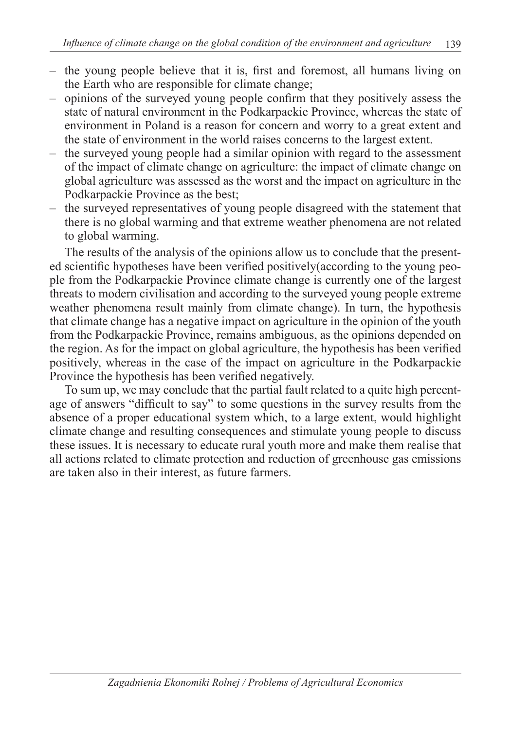- the young people believe that it is, first and foremost, all humans living on the Earth who are responsible for climate change;
- opinions of the surveyed young people confirm that they positively assess the state of natural environment in the Podkarpackie Province, whereas the state of environment in Poland is a reason for concern and worry to a great extent and the state of environment in the world raises concerns to the largest extent.
- the surveyed young people had a similar opinion with regard to the assessment of the impact of climate change on agriculture: the impact of climate change on global agriculture was assessed as the worst and the impact on agriculture in the Podkarpackie Province as the best;
- the surveyed representatives of young people disagreed with the statement that there is no global warming and that extreme weather phenomena are not related to global warming.

The results of the analysis of the opinions allow us to conclude that the presented scientific hypotheses have been verified positively(according to the young people from the Podkarpackie Province climate change is currently one of the largest threats to modern civilisation and according to the surveyed young people extreme weather phenomena result mainly from climate change). In turn, the hypothesis that climate change has a negative impact on agriculture in the opinion of the youth from the Podkarpackie Province, remains ambiguous, as the opinions depended on the region. As for the impact on global agriculture, the hypothesis has been verified positively, whereas in the case of the impact on agriculture in the Podkarpackie Province the hypothesis has been verified negatively.

To sum up, we may conclude that the partial fault related to a quite high percentage of answers "difficult to say" to some questions in the survey results from the absence of a proper educational system which, to a large extent, would highlight climate change and resulting consequences and stimulate young people to discuss these issues. It is necessary to educate rural youth more and make them realise that all actions related to climate protection and reduction of greenhouse gas emissions are taken also in their interest, as future farmers.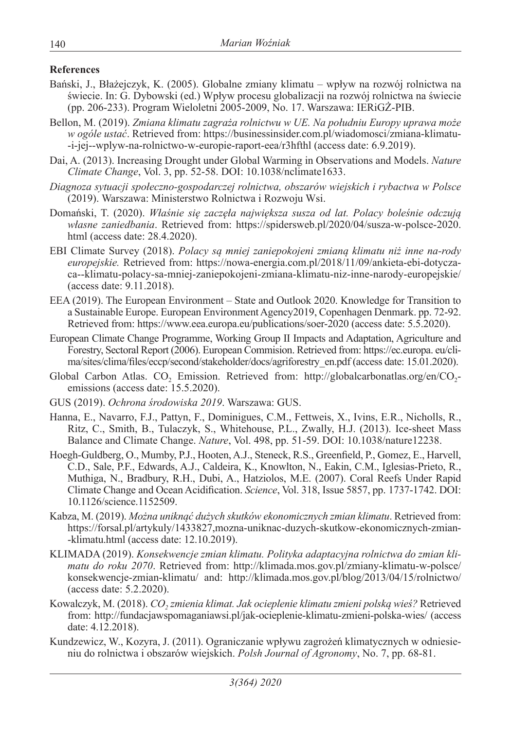#### **References**

- Bański, J., Błażejczyk, K. (2005). Globalne zmiany klimatu wpływ na rozwój rolnictwa na świecie. In: G. Dybowski (ed.) Wpływ procesu globalizacji na rozwój rolnictwa na świecie (pp. 206-233). Program Wieloletni 2005-2009, No. 17. Warszawa: IERiGŻ-PIB.
- Bellon, M. (2019). *Zmiana klimatu zagraża rolnictwu w UE. Na południu Europy uprawa może w ogóle ustać*. Retrieved from: https://businessinsider.com.pl/wiadomosci/zmiana-klimatu- -i-jej--wplyw-na-rolnictwo-w-europie-raport-eea/r3hfthl (access date: 6.9.2019).
- Dai, A. (2013). Increasing Drought under Global Warming in Observations and Models. *Nature Climate Change*, Vol. 3, pp. 52-58. DOI: 10.1038/nclimate1633.
- *Diagnoza sytuacji społeczno-gospodarczej rolnictwa, obszarów wiejskich i rybactwa w Polsce*  (2019). Warszawa: Ministerstwo Rolnictwa i Rozwoju Wsi.
- Domański, T. (2020). *Właśnie się zaczęła największa susza od lat. Polacy boleśnie odczują własne zaniedbania*. Retrieved from: https://spidersweb.pl/2020/04/susza-w-polsce-2020. html (access date: 28.4.2020).
- EBI Climate Survey (2018). *Polacy są mniej zaniepokojeni zmianą klimatu niż inne na-rody europejskie.* Retrieved from: https://nowa-energia.com.pl/2018/11/09/ankieta-ebi-dotyczaca--klimatu-polacy-sa-mniej-zaniepokojeni-zmiana-klimatu-niz-inne-narody-europejskie/ (access date: 9.11.2018).
- EEA (2019). The European Environment State and Outlook 2020. Knowledge for Transition to a Sustainable Europe. European Environment Agency2019, Copenhagen Denmark. pp. 72-92. Retrieved from: https://www.eea.europa.eu/publications/soer-2020 (access date: 5.5.2020).
- European Climate Change Programme, Working Group II Impacts and Adaptation, Agriculture and Forestry, Sectoral Report (2006). European Commision. Retrieved from: https://ec.europa. eu/clima/sites/clima/files/eccp/second/stakeholder/docs/agriforestry\_en.pdf (access date: 15.01.2020).
- Global Carbon Atlas. CO<sub>2</sub> Emission. Retrieved from: http://globalcarbonatlas.org/en/CO<sub>2</sub>emissions (access date: 15.5.2020).
- GUS (2019). *Ochrona środowiska 2019*. Warszawa: GUS.
- Hanna, E., Navarro, F.J., Pattyn, F., Dominigues, C.M., Fettweis, X., Ivins, E.R., Nicholls, R., Ritz, C., Smith, B., Tulaczyk, S., Whitehouse, P.L., Zwally, H.J. (2013). Ice-sheet Mass Balance and Climate Change. *Nature*, Vol. 498, pp. 51-59. DOI: 10.1038/nature12238.
- Hoegh-Guldberg, O., Mumby, P.J., Hooten, A.J., Steneck, R.S., Greenfield, P., Gomez, E., Harvell, C.D., Sale, P.F., Edwards, A.J., Caldeira, K., Knowlton, N., Eakin, C.M., Iglesias-Prieto, R., Muthiga, N., Bradbury, R.H., Dubi, A., Hatziolos, M.E. (2007). Coral Reefs Under Rapid Climate Change and Ocean Acidification. *Science*, Vol. 318, Issue 5857, pp. 1737-1742. DOI: 10.1126/science.1152509.
- Kabza, M. (2019). *Można uniknąć dużych skutków ekonomicznych zmian klimatu*. Retrieved from: https://forsal.pl/artykuly/1433827,mozna-uniknac-duzych-skutkow-ekonomicznych-zmian- -klimatu.html (access date: 12.10.2019).
- KLIMADA (2019). *Konsekwencje zmian klimatu. Polityka adaptacyjna rolnictwa do zmian klimatu do roku 2070*. Retrieved from: http://klimada.mos.gov.pl/zmiany-klimatu-w-polsce/ konsekwencje-zmian-klimatu/ and: http://klimada.mos.gov.pl/blog/2013/04/15/rolnictwo/ (access date: 5.2.2020).
- Kowalczyk, M. (2018). *CO<sub>2</sub> zmienia klimat. Jak ocieplenie klimatu zmieni polską wieś?* Retrieved from: http://fundacjawspomaganiawsi.pl/jak-ocieplenie-klimatu-zmieni-polska-wies/ (access date: 4.12.2018).
- Kundzewicz, W., Kozyra, J. (2011). Ograniczanie wpływu zagrożeń klimatycznych w odniesieniu do rolnictwa i obszarów wiejskich. *Polsh Journal of Agronomy*, No. 7, pp. 68-81.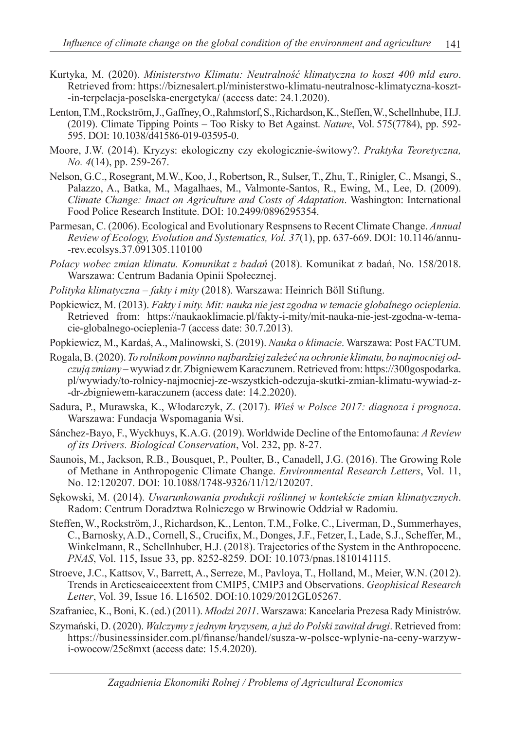- Kurtyka, M. (2020). *Ministerstwo Klimatu: Neutralność klimatyczna to koszt 400 mld euro*. Retrieved from: https://biznesalert.pl/ministerstwo-klimatu-neutralnosc-klimatyczna-koszt- -in-terpelacja-poselska-energetyka/ (access date: 24.1.2020).
- Lenton, T.M., Rockström, J., Gaffney, O., Rahmstorf, S., Richardson, K., Steffen, W., Schellnhube, H.J. (2019). Climate Tipping Points – Too Risky to Bet Against. *Nature*, Vol. 575(7784), pp. 592- 595. DOI: 10.1038/d41586-019-03595-0.
- Moore, J.W. (2014). Kryzys: ekologiczny czy ekologicznie-świtowy?. *Praktyka Teoretyczna, No. 4*(14), pp. 259-267.
- Nelson, G.C., Rosegrant, M.W., Koo, J., Robertson, R., Sulser, T., Zhu, T., Rinigler, C., Msangi, S., Palazzo, A., Batka, M., Magalhaes, M., Valmonte-Santos, R., Ewing, M., Lee, D. (2009). *Climate Change: Imact on Agriculture and Costs of Adaptation*. Washington: International Food Police Research Institute. DOI: 10.2499/0896295354.
- Parmesan, C. (2006). Ecological and Evolutionary Respnsens to Recent Climate Change. *Annual Review of Ecology, Evolution and Systematics, Vol. 37*(1), pp. 637-669. DOI: 10.1146/annu- -rev.ecolsys.37.091305.110100
- *Polacy wobec zmian klimatu. Komunikat z badań* (2018). Komunikat z badań, No. 158/2018. Warszawa: Centrum Badania Opinii Społecznej.
- *Polityka klimatyczna fakty i mity* (2018). Warszawa: Heinrich Böll Stiftung.
- Popkiewicz, M. (2013). *Fakty i mity. Mit: nauka nie jest zgodna w temacie globalnego ocieplenia.*  Retrieved from: https://naukaoklimacie.pl/fakty-i-mity/mit-nauka-nie-jest-zgodna-w-temacie-globalnego-ocieplenia-7 (access date: 30.7.2013).
- Popkiewicz, M., Kardaś, A., Malinowski, S. (2019). *Nauka o klimacie*. Warszawa: Post FACTUM.
- Rogala, B. (2020). *To rolnikom powinno najbardziej zależeć na ochronie klimatu, bo najmocniej odczują zmiany* – wywiad z dr. Zbigniewem Karaczunem. Retrieved from: https://300gospodarka. pl/wywiady/to-rolnicy-najmocniej-ze-wszystkich-odczuja-skutki-zmian-klimatu-wywiad-z- -dr-zbigniewem-karaczunem (access date: 14.2.2020).
- Sadura, P., Murawska, K., Włodarczyk, Z. (2017). *Wieś w Polsce 2017: diagnoza i prognoza*. Warszawa: Fundacja Wspomagania Wsi.
- Sánchez-Bayo, F., Wyckhuys, K.A.G. (2019). Worldwide Decline of the Entomofauna: *A Review of its Drivers. Biological Conservation*, Vol. 232, pp. 8-27.
- Saunois, M., Jackson, R.B., Bousquet, P., Poulter, B., Canadell, J.G. (2016). The Growing Role of Methane in Anthropogenic Climate Change. *Environmental Research Letters*, Vol. 11, No. 12:120207. DOI: 10.1088/1748-9326/11/12/120207.
- Sękowski, M. (2014). *Uwarunkowania produkcji roślinnej w kontekście zmian klimatycznych*. Radom: Centrum Doradztwa Rolniczego w Brwinowie Oddział w Radomiu.
- Steffen, W., Rockström, J., Richardson, K., Lenton, T.M., Folke, C., Liverman, D., Summerhayes, C., Barnosky, A.D., Cornell, S., Crucifix, M., Donges, J.F., Fetzer, I., Lade, S.J., Scheffer, M., Winkelmann, R., Schellnhuber, H.J. (2018). Trajectories of the System in the Anthropocene. *PNAS*, Vol. 115, Issue 33, pp. 8252-8259. DOI: 10.1073/pnas.1810141115.
- Stroeve, J.C., Kattsov, V., Barrett, A., Serreze, M., Pavloya, T., Holland, M., Meier, W.N. (2012). Trends in Arcticseaiceextent from CMIP5, CMIP3 and Observations. *Geophisical Research Letter*, Vol. 39, Issue 16. L16502. DOI:10.1029/2012GL05267.
- Szafraniec, K., Boni, K. (ed.) (2011). *Młodzi 2011*. Warszawa: Kancelaria Prezesa Rady Ministrów.
- Szymański, D. (2020). *Walczymy z jednym kryzysem, a już do Polski zawitał drugi*. Retrieved from: https://businessinsider.com.pl/finanse/handel/susza-w-polsce-wplynie-na-ceny-warzywi-owocow/25c8mxt (access date: 15.4.2020).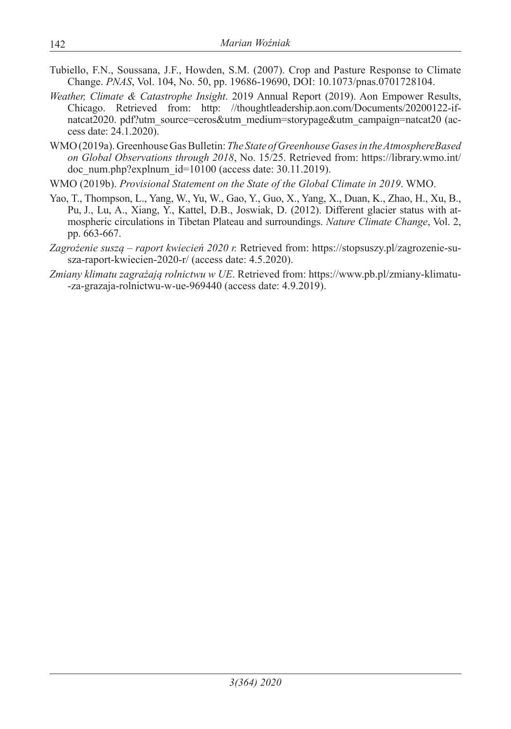- Tubiello, F.N., Soussana, J.F., Howden, S.M. (2007). Crop and Pasture Response to Climate Change. *PNAS*, Vol. 104, No. 50, pp. 19686-19690, DOI: 10.1073/pnas.0701728104.
- *Weather, Climate & Catastrophe Insight*. 2019 Annual Report (2019). Aon Empower Results, Chicago. Retrieved from: http: //thoughtleadership.aon.com/Documents/20200122-ifnatcat2020. pdf?utm\_source=ceros&utm\_medium=storypage&utm\_campaign=natcat20 (access date: 24.1.2020).
- WMO (2019a). Greenhouse Gas Bulletin: *The State of Greenhouse Gases in the AtmosphereBased on Global Observations through 2018*, No. 15/25. Retrieved from: https://library.wmo.int/ doc\_num.php?explnum\_id= $10100$  (access date: 30.11.2019).

WMO (2019b). *Provisional Statement on the State of the Global Climate in 2019*. WMO.

- Yao, T., Thompson, L., Yang, W., Yu, W., Gao, Y., Guo, X., Yang, X., Duan, K., Zhao, H., Xu, B., Pu, J., Lu, A., Xiang, Y., Kattel, D.B., Joswiak, D. (2012). Different glacier status with atmospheric circulations in Tibetan Plateau and surroundings. *Nature Climate Change*, Vol. 2, pp. 663-667.
- *Zagrożenie suszą raport kwiecień 2020 r.* Retrieved from: https://stopsuszy.pl/zagrozenie-susza-raport-kwiecien-2020-r/ (access date: 4.5.2020).
- *Zmiany klimatu zagrażają rolnictwu w UE*. Retrieved from: https://www.pb.pl/zmiany-klimatu- -za-grazaja-rolnictwu-w-ue-969440 (access date: 4.9.2019).